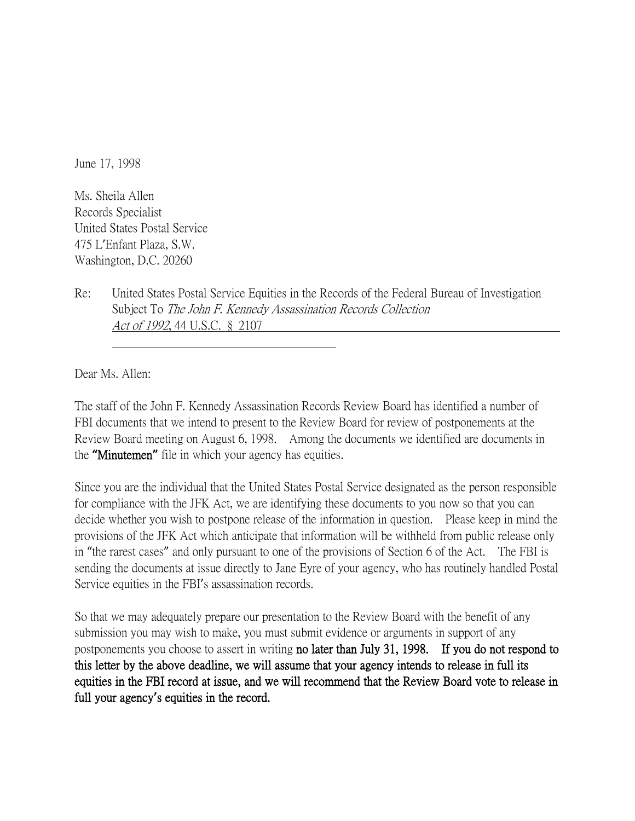June 17, 1998

Ms. Sheila Allen Records Specialist United States Postal Service 475 L'Enfant Plaza, S.W. Washington, D.C. 20260

Re: United States Postal Service Equities in the Records of the Federal Bureau of Investigation Subject To The John F. Kennedy Assassination Records Collection Act of 1992, 44 U.S.C. § 2107

Dear Ms. Allen:

The staff of the John F. Kennedy Assassination Records Review Board has identified a number of FBI documents that we intend to present to the Review Board for review of postponements at the Review Board meeting on August 6, 1998. Among the documents we identified are documents in the **"**Minutemen**"** file in which your agency has equities.

Since you are the individual that the United States Postal Service designated as the person responsible for compliance with the JFK Act, we are identifying these documents to you now so that you can decide whether you wish to postpone release of the information in question. Please keep in mind the provisions of the JFK Act which anticipate that information will be withheld from public release only in "the rarest cases" and only pursuant to one of the provisions of Section 6 of the Act. The FBI is sending the documents at issue directly to Jane Eyre of your agency, who has routinely handled Postal Service equities in the FBI's assassination records.

So that we may adequately prepare our presentation to the Review Board with the benefit of any submission you may wish to make, you must submit evidence or arguments in support of any postponements you choose to assert in writing no later than July 31, 1998. If you do not respond to this letter by the above deadline, we will assume that your agency intends to release in full its equities in the FBI record at issue, and we will recommend that the Review Board vote to release in full your agency**'**s equities in the record.